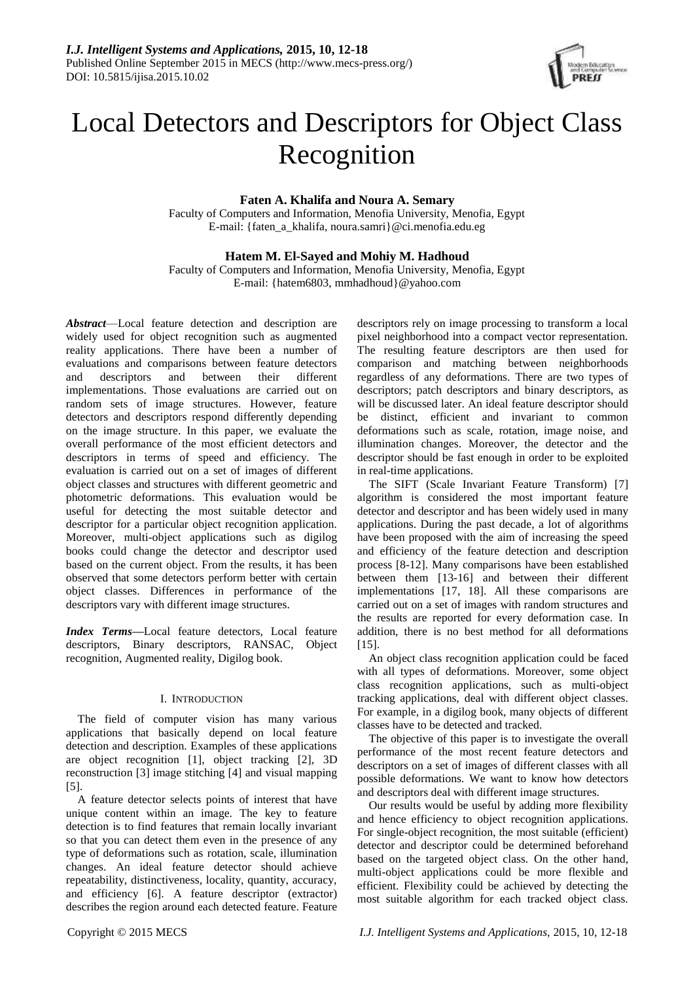

# Local Detectors and Descriptors for Object Class Recognition

# **Faten A. Khalifa and Noura A. Semary**

Faculty of Computers and Information, Menofia University, Menofia, Egypt E-mail: {faten\_a\_khalifa, noura.samri}@ci.menofia.edu.eg

# **Hatem M. El-Sayed and Mohiy M. Hadhoud**

Faculty of Computers and Information, Menofia University, Menofia, Egypt E-mail: {hatem6803, mmhadhoud}@yahoo.com

*Abstract*—Local feature detection and description are widely used for object recognition such as augmented reality applications. There have been a number of evaluations and comparisons between feature detectors and descriptors and between their different implementations. Those evaluations are carried out on random sets of image structures. However, feature detectors and descriptors respond differently depending on the image structure. In this paper, we evaluate the overall performance of the most efficient detectors and descriptors in terms of speed and efficiency. The evaluation is carried out on a set of images of different object classes and structures with different geometric and photometric deformations. This evaluation would be useful for detecting the most suitable detector and descriptor for a particular object recognition application. Moreover, multi-object applications such as digilog books could change the detector and descriptor used based on the current object. From the results, it has been observed that some detectors perform better with certain object classes. Differences in performance of the descriptors vary with different image structures.

*Index Terms***—**Local feature detectors, Local feature descriptors, Binary descriptors, RANSAC, Object recognition, Augmented reality, Digilog book.

# I. INTRODUCTION

The field of computer vision has many various applications that basically depend on local feature detection and description. Examples of these applications are object recognition [1], object tracking [2], 3D reconstruction [3] image stitching [4] and visual mapping [5].

A feature detector selects points of interest that have unique content within an image. The key to feature detection is to find features that remain locally invariant so that you can detect them even in the presence of any type of deformations such as rotation, scale, illumination changes. An ideal feature detector should achieve repeatability, distinctiveness, locality, quantity, accuracy, and efficiency [6]. A feature descriptor (extractor) describes the region around each detected feature. Feature

descriptors rely on image processing to transform a local pixel neighborhood into a compact vector representation. The resulting feature descriptors are then used for comparison and matching between neighborhoods regardless of any deformations. There are two types of descriptors; patch descriptors and binary descriptors, as will be discussed later. An ideal feature descriptor should be distinct, efficient and invariant to common deformations such as scale, rotation, image noise, and illumination changes. Moreover, the detector and the descriptor should be fast enough in order to be exploited in real-time applications.

The SIFT (Scale Invariant Feature Transform) [7] algorithm is considered the most important feature detector and descriptor and has been widely used in many applications. During the past decade, a lot of algorithms have been proposed with the aim of increasing the speed and efficiency of the feature detection and description process [8-12]. Many comparisons have been established between them [13-16] and between their different implementations [17, 18]. All these comparisons are carried out on a set of images with random structures and the results are reported for every deformation case. In addition, there is no best method for all deformations [15].

An object class recognition application could be faced with all types of deformations. Moreover, some object class recognition applications, such as multi-object tracking applications, deal with different object classes. For example, in a digilog book, many objects of different classes have to be detected and tracked.

The objective of this paper is to investigate the overall performance of the most recent feature detectors and descriptors on a set of images of different classes with all possible deformations. We want to know how detectors and descriptors deal with different image structures.

Our results would be useful by adding more flexibility and hence efficiency to object recognition applications. For single-object recognition, the most suitable (efficient) detector and descriptor could be determined beforehand based on the targeted object class. On the other hand, multi-object applications could be more flexible and efficient. Flexibility could be achieved by detecting the most suitable algorithm for each tracked object class.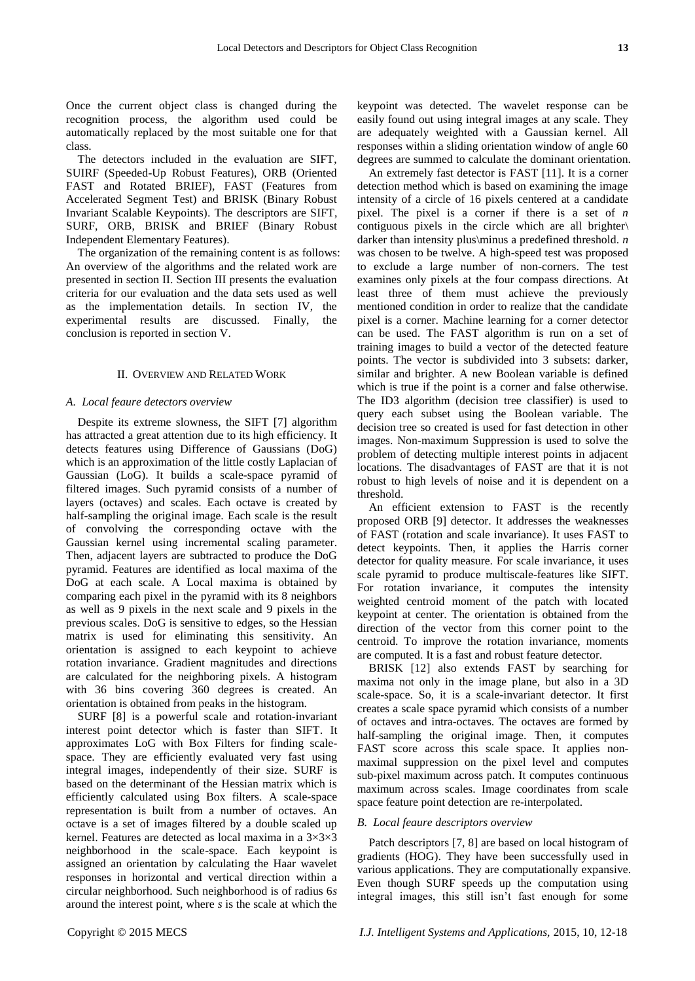Once the current object class is changed during the recognition process, the algorithm used could be automatically replaced by the most suitable one for that class.

The detectors included in the evaluation are SIFT, SUIRF (Speeded-Up Robust Features), ORB (Oriented FAST and Rotated BRIEF), FAST (Features from Accelerated Segment Test) and BRISK (Binary Robust Invariant Scalable Keypoints). The descriptors are SIFT, SURF, ORB, BRISK and BRIEF (Binary Robust Independent Elementary Features).

The organization of the remaining content is as follows: An overview of the algorithms and the related work are presented in section II. Section III presents the evaluation criteria for our evaluation and the data sets used as well as the implementation details. In section IV, the experimental results are discussed. Finally, conclusion is reported in section V.

#### II. OVERVIEW AND RELATED WORK

#### *A. Local feaure detectors overview*

Despite its extreme slowness, the SIFT [7] algorithm has attracted a great attention due to its high efficiency. It detects features using Difference of Gaussians (DoG) which is an approximation of the little costly Laplacian of Gaussian (LoG). It builds a scale-space pyramid of filtered images. Such pyramid consists of a number of layers (octaves) and scales. Each octave is created by half-sampling the original image. Each scale is the result of convolving the corresponding octave with the Gaussian kernel using incremental scaling parameter. Then, adjacent layers are subtracted to produce the DoG pyramid. Features are identified as local maxima of the DoG at each scale. A Local maxima is obtained by comparing each pixel in the pyramid with its 8 neighbors as well as 9 pixels in the next scale and 9 pixels in the previous scales. DoG is sensitive to edges, so the Hessian matrix is used for eliminating this sensitivity. An orientation is assigned to each keypoint to achieve rotation invariance. Gradient magnitudes and directions are calculated for the neighboring pixels. A histogram with 36 bins covering 360 degrees is created. An orientation is obtained from peaks in the histogram.

SURF [8] is a powerful scale and rotation-invariant interest point detector which is faster than SIFT. It approximates LoG with Box Filters for finding scalespace. They are efficiently evaluated very fast using integral images, independently of their size. SURF is based on the determinant of the Hessian matrix which is efficiently calculated using Box filters. A scale-space representation is built from a number of octaves. An octave is a set of images filtered by a double scaled up kernel. Features are detected as local maxima in a  $3 \times 3 \times 3$ neighborhood in the scale-space. Each keypoint is assigned an orientation by calculating the Haar wavelet responses in horizontal and vertical direction within a circular neighborhood. Such neighborhood is of radius 6*s* around the interest point, where *s* is the scale at which the

keypoint was detected. The wavelet response can be easily found out using integral images at any scale. They are adequately weighted with a Gaussian kernel. All responses within a sliding orientation window of angle 60 degrees are summed to calculate the dominant orientation.

An extremely fast detector is FAST [11]. It is a corner detection method which is based on examining the image intensity of a circle of 16 pixels centered at a candidate pixel. The pixel is a corner if there is a set of *n* contiguous pixels in the circle which are all brighter\ darker than intensity plus\minus a predefined threshold. *n* was chosen to be twelve. A high-speed test was proposed to exclude a large number of non-corners. The test examines only pixels at the four compass directions. At least three of them must achieve the previously mentioned condition in order to realize that the candidate pixel is a corner. Machine learning for a corner detector can be used. The FAST algorithm is run on a set of training images to build a vector of the detected feature points. The vector is subdivided into 3 subsets: darker, similar and brighter. A new Boolean variable is defined which is true if the point is a corner and false otherwise. The ID3 algorithm (decision tree classifier) is used to query each subset using the Boolean variable. The decision tree so created is used for fast detection in other images. Non-maximum Suppression is used to solve the problem of detecting multiple interest points in adjacent locations. The disadvantages of FAST are that it is not robust to high levels of noise and it is dependent on a threshold.

An efficient extension to FAST is the recently proposed ORB [9] detector. It addresses the weaknesses of FAST (rotation and scale invariance). It uses FAST to detect keypoints. Then, it applies the Harris corner detector for quality measure. For scale invariance, it uses scale pyramid to produce multiscale-features like SIFT. For rotation invariance, it computes the intensity weighted centroid moment of the patch with located keypoint at center. The orientation is obtained from the direction of the vector from this corner point to the centroid. To improve the rotation invariance, moments are computed. It is a fast and robust feature detector.

BRISK [12] also extends FAST by searching for maxima not only in the image plane, but also in a 3D scale-space. So, it is a scale-invariant detector. It first creates a scale space pyramid which consists of a number of octaves and intra-octaves. The octaves are formed by half-sampling the original image. Then, it computes FAST score across this scale space. It applies nonmaximal suppression on the pixel level and computes sub-pixel maximum across patch. It computes continuous maximum across scales. Image coordinates from scale space feature point detection are re-interpolated.

#### *B. Local feaure descriptors overview*

Patch descriptors [7, 8] are based on local histogram of gradients (HOG). They have been successfully used in various applications. They are computationally expansive. Even though SURF speeds up the computation using integral images, this still isn't fast enough for some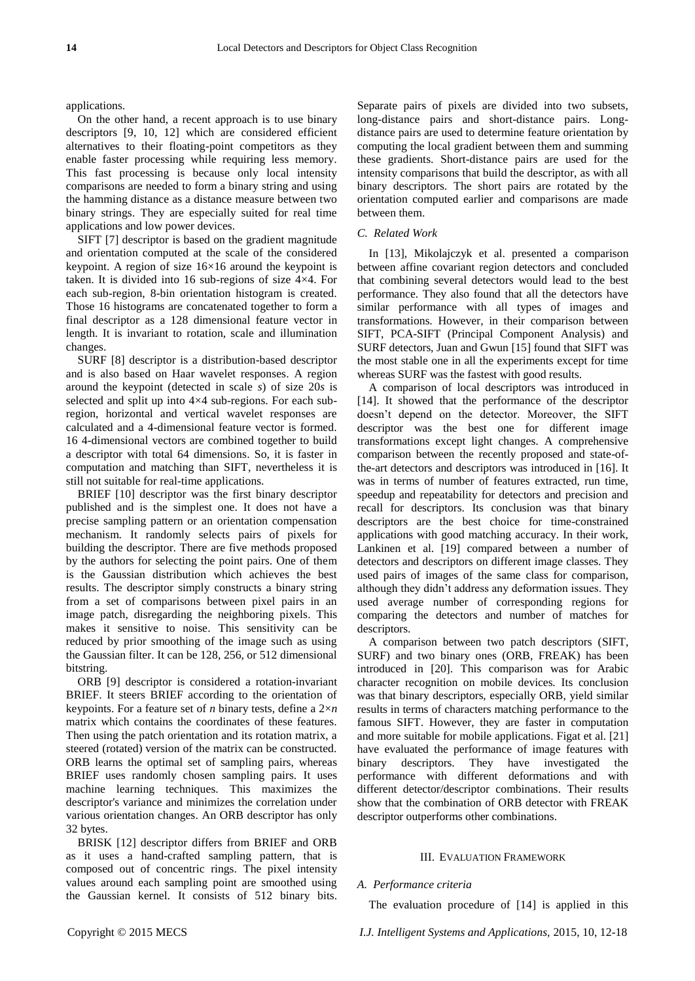applications.

On the other hand, a recent approach is to use binary descriptors [9, 10, 12] which are considered efficient alternatives to their floating-point competitors as they enable faster processing while requiring less memory. This fast processing is because only local intensity comparisons are needed to form a binary string and using the hamming distance as a distance measure between two binary strings. They are especially suited for real time applications and low power devices.

SIFT [7] descriptor is based on the gradient magnitude and orientation computed at the scale of the considered keypoint. A region of size  $16\times16$  around the keypoint is taken. It is divided into 16 sub-regions of size  $4 \times 4$ . For each sub-region, 8-bin orientation histogram is created. Those 16 histograms are concatenated together to form a final descriptor as a 128 dimensional feature vector in length. It is invariant to rotation, scale and illumination changes.

SURF [8] descriptor is a distribution-based descriptor and is also based on Haar wavelet responses. A region around the keypoint (detected in scale *s*) of size 20*s* is selected and split up into  $4 \times 4$  sub-regions. For each subregion, horizontal and vertical wavelet responses are calculated and a 4-dimensional feature vector is formed. 16 4-dimensional vectors are combined together to build a descriptor with total 64 dimensions. So, it is faster in computation and matching than SIFT, nevertheless it is still not suitable for real-time applications.

BRIEF [10] descriptor was the first binary descriptor published and is the simplest one. It does not have a precise sampling pattern or an orientation compensation mechanism. It randomly selects pairs of pixels for building the descriptor. There are five methods proposed by the authors for selecting the point pairs. One of them is the Gaussian distribution which achieves the best results. The descriptor simply constructs a binary string from a set of comparisons between pixel pairs in an image patch, disregarding the neighboring pixels. This makes it sensitive to noise. This sensitivity can be reduced by prior smoothing of the image such as using the Gaussian filter. It can be 128, 256, or 512 dimensional bitstring.

ORB [9] descriptor is considered a rotation-invariant BRIEF. It steers BRIEF according to the orientation of keypoints. For a feature set of *n* binary tests, define a 2×*n* matrix which contains the coordinates of these features. Then using the patch orientation and its rotation matrix, a steered (rotated) version of the matrix can be constructed. ORB learns the optimal set of sampling pairs, whereas BRIEF uses randomly chosen sampling pairs. It uses machine learning techniques. This maximizes the descriptor's variance and minimizes the correlation under various orientation changes. An ORB descriptor has only 32 bytes.

BRISK [12] descriptor differs from BRIEF and ORB as it uses a hand-crafted sampling pattern, that is composed out of concentric rings. The pixel intensity values around each sampling point are smoothed using the Gaussian kernel. It consists of 512 binary bits. Separate pairs of pixels are divided into two subsets, long-distance pairs and short-distance pairs. Longdistance pairs are used to determine feature orientation by computing the local gradient between them and summing these gradients. Short-distance pairs are used for the intensity comparisons that build the descriptor, as with all binary descriptors. The short pairs are rotated by the orientation computed earlier and comparisons are made between them.

### *C. Related Work*

In [13], Mikolajczyk et al. presented a comparison between affine covariant region detectors and concluded that combining several detectors would lead to the best performance. They also found that all the detectors have similar performance with all types of images and transformations. However, in their comparison between SIFT, PCA-SIFT (Principal Component Analysis) and SURF detectors, Juan and Gwun [15] found that SIFT was the most stable one in all the experiments except for time whereas SURF was the fastest with good results.

A comparison of local descriptors was introduced in [14]. It showed that the performance of the descriptor doesn't depend on the detector. Moreover, the SIFT descriptor was the best one for different image transformations except light changes. A comprehensive comparison between the recently proposed and state-ofthe-art detectors and descriptors was introduced in [16]. It was in terms of number of features extracted, run time, speedup and repeatability for detectors and precision and recall for descriptors. Its conclusion was that binary descriptors are the best choice for time-constrained applications with good matching accuracy. In their work, Lankinen et al. [19] compared between a number of detectors and descriptors on different image classes. They used pairs of images of the same class for comparison, although they didn't address any deformation issues. They used average number of corresponding regions for comparing the detectors and number of matches for descriptors.

A comparison between two patch descriptors (SIFT, SURF) and two binary ones (ORB, FREAK) has been introduced in [20]. This comparison was for Arabic character recognition on mobile devices. Its conclusion was that binary descriptors, especially ORB, yield similar results in terms of characters matching performance to the famous SIFT. However, they are faster in computation and more suitable for mobile applications. Figat et al. [21] have evaluated the performance of image features with binary descriptors. They have investigated the performance with different deformations and with different detector/descriptor combinations. Their results show that the combination of ORB detector with FREAK descriptor outperforms other combinations.

#### III. EVALUATION FRAMEWORK

#### *A. Performance criteria*

The evaluation procedure of [14] is applied in this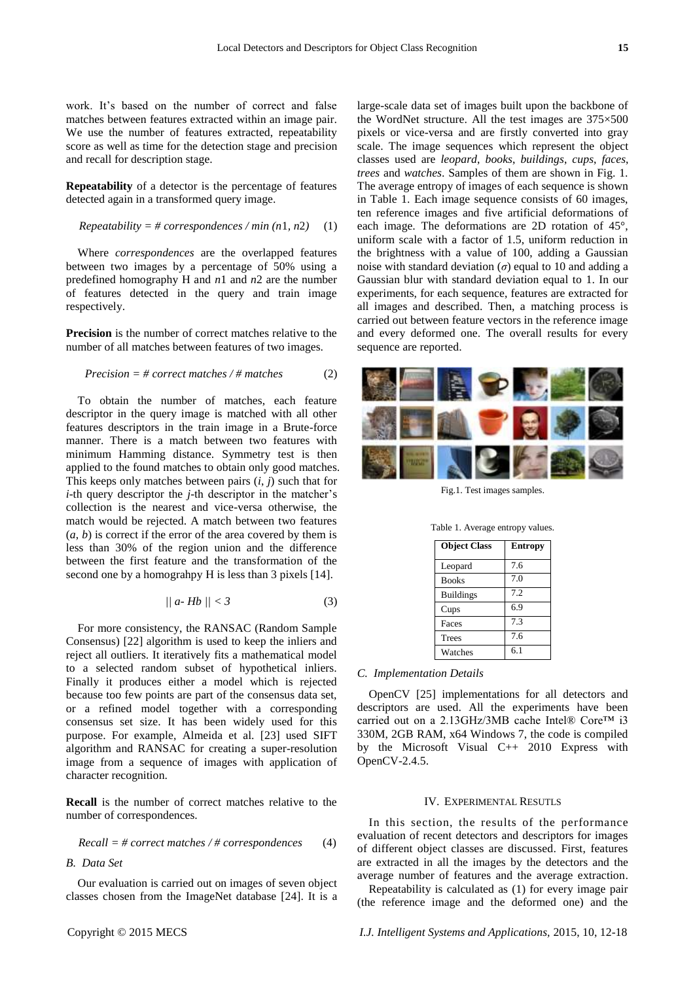work. It's based on the number of correct and false matches between features extracted within an image pair. We use the number of features extracted, repeatability score as well as time for the detection stage and precision and recall for description stage.

**Repeatability** of a detector is the percentage of features detected again in a transformed query image.

$$
Repeatability = #
$$
 *correspondences* / min (n1, n2) (1)

Where *correspondences* are the overlapped features between two images by a percentage of 50% using a predefined homography H and *n*1 and *n*2 are the number of features detected in the query and train image respectively.

**Precision** is the number of correct matches relative to the number of all matches between features of two images.

$$
Precision = # correct matches / # matches
$$
 (2)

To obtain the number of matches, each feature descriptor in the query image is matched with all other features descriptors in the train image in a Brute-force manner. There is a match between two features with minimum Hamming distance. Symmetry test is then applied to the found matches to obtain only good matches. This keeps only matches between pairs (*i*, *j*) such that for *i*-th query descriptor the *j*-th descriptor in the matcher's collection is the nearest and vice-versa otherwise, the match would be rejected. A match between two features  $(a, b)$  is correct if the error of the area covered by them is less than 30% of the region union and the difference between the first feature and the transformation of the second one by a homograhpy H is less than 3 pixels [14].

$$
||a \cdot Hb|| < 3 \tag{3}
$$

For more consistency, the RANSAC (Random Sample Consensus) [22] algorithm is used to keep the inliers and reject all outliers. It iteratively fits a mathematical model to a selected random subset of hypothetical inliers. Finally it produces either a model which is rejected because too few points are part of the consensus data set, or a refined model together with a corresponding consensus set size. It has been widely used for this purpose. For example, Almeida et al. [23] used SIFT algorithm and RANSAC for creating a super-resolution image from a sequence of images with application of character recognition.

**Recall** is the number of correct matches relative to the number of correspondences.

Recall = # correct matches 
$$
/\#
$$
 corresponds to  $(4)$ 

## *B. Data Set*

Our evaluation is carried out on images of seven object classes chosen from the ImageNet database [24]. It is a large-scale data set of images built upon the backbone of the WordNet structure. All the test images are  $375\times500$ pixels or vice-versa and are firstly converted into gray scale. The image sequences which represent the object classes used are *leopard*, *books*, *buildings*, *cups*, *faces*, *trees* and *watches*. Samples of them are shown in Fig. 1. The average entropy of images of each sequence is shown in Table 1. Each image sequence consists of 60 images, ten reference images and five artificial deformations of each image. The deformations are 2D rotation of 45°, uniform scale with a factor of 1.5, uniform reduction in the brightness with a value of 100, adding a Gaussian noise with standard deviation  $(\sigma)$  equal to 10 and adding a Gaussian blur with standard deviation equal to 1. In our experiments, for each sequence, features are extracted for all images and described. Then, a matching process is carried out between feature vectors in the reference image and every deformed one. The overall results for every sequence are reported.



Fig.1. Test images samples.

| <b>Object Class</b> | <b>Entropy</b> |
|---------------------|----------------|
| Leopard             | 7.6            |
| <b>Books</b>        | 7 <sub>0</sub> |
| <b>Buildings</b>    | 7.2            |
| Cups                | 6.9            |

Faces 7.3 Trees 7.6 Watches 6.1

## Table 1. Average entropy values.

#### *C. Implementation Details*

OpenCV [25] implementations for all detectors and descriptors are used. All the experiments have been carried out on a 2.13GHz/3MB cache Intel® Core™ i3 330M, 2GB RAM, x64 Windows 7, the code is compiled by the Microsoft Visual C++ 2010 Express with OpenCV-2.4.5.

#### IV. EXPERIMENTAL RESUTLS

In this section, the results of the performance evaluation of recent detectors and descriptors for images of different object classes are discussed. First, features are extracted in all the images by the detectors and the average number of features and the average extraction.

Repeatability is calculated as (1) for every image pair (the reference image and the deformed one) and the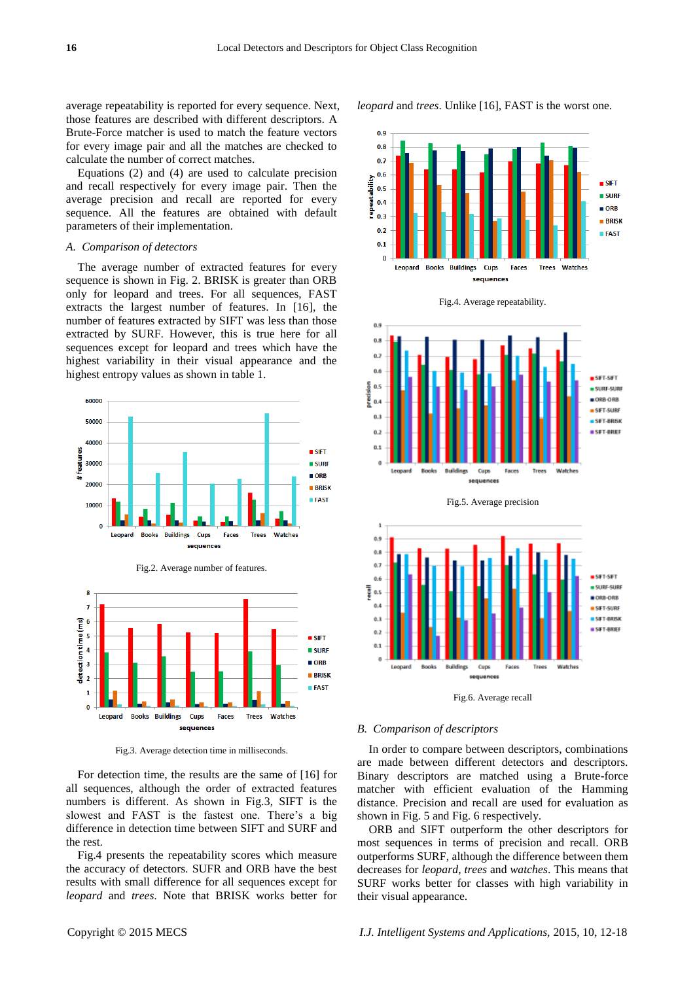average repeatability is reported for every sequence. Next, those features are described with different descriptors. A Brute-Force matcher is used to match the feature vectors for every image pair and all the matches are checked to calculate the number of correct matches.

Equations (2) and (4) are used to calculate precision and recall respectively for every image pair. Then the average precision and recall are reported for every sequence. All the features are obtained with default parameters of their implementation.

#### *A. Comparison of detectors*

The average number of extracted features for every sequence is shown in Fig. 2. BRISK is greater than ORB only for leopard and trees. For all sequences, FAST extracts the largest number of features. In [16], the number of features extracted by SIFT was less than those extracted by SURF. However, this is true here for all sequences except for leopard and trees which have the highest variability in their visual appearance and the highest entropy values as shown in table 1.



Fig.3. Average detection time in milliseconds.

For detection time, the results are the same of [16] for all sequences, although the order of extracted features numbers is different. As shown in Fig.3, SIFT is the slowest and FAST is the fastest one. There's a big difference in detection time between SIFT and SURF and the rest.

Fig.4 presents the repeatability scores which measure the accuracy of detectors. SUFR and ORB have the best results with small difference for all sequences except for *leopard* and *trees*. Note that BRISK works better for

n q  $0.8$  $0.7$  $0.6$ ailte<br>B **SIFT**  $0.5$  $SURF$  $\frac{1}{2}$  0.4<br> $\frac{1}{2}$  0.3  $\blacksquare$  ORR  $0.3$  $B$ **RRISK**  $0.2$  $$  $0<sub>1</sub>$ **Books** Buildings Leopard **Cups Watches** Eaces **Trees** sequences

Fig.4. Average repeatability.

*leopard* and *trees*. Unlike [16], FAST is the worst one.





Fig.6. Average recall

## *B. Comparison of descriptors*

In order to compare between descriptors, combinations are made between different detectors and descriptors. Binary descriptors are matched using a Brute-force matcher with efficient evaluation of the Hamming distance. Precision and recall are used for evaluation as shown in Fig. 5 and Fig. 6 respectively.

ORB and SIFT outperform the other descriptors for most sequences in terms of precision and recall. ORB outperforms SURF, although the difference between them decreases for *leopard*, *trees* and *watches*. This means that SURF works better for classes with high variability in their visual appearance.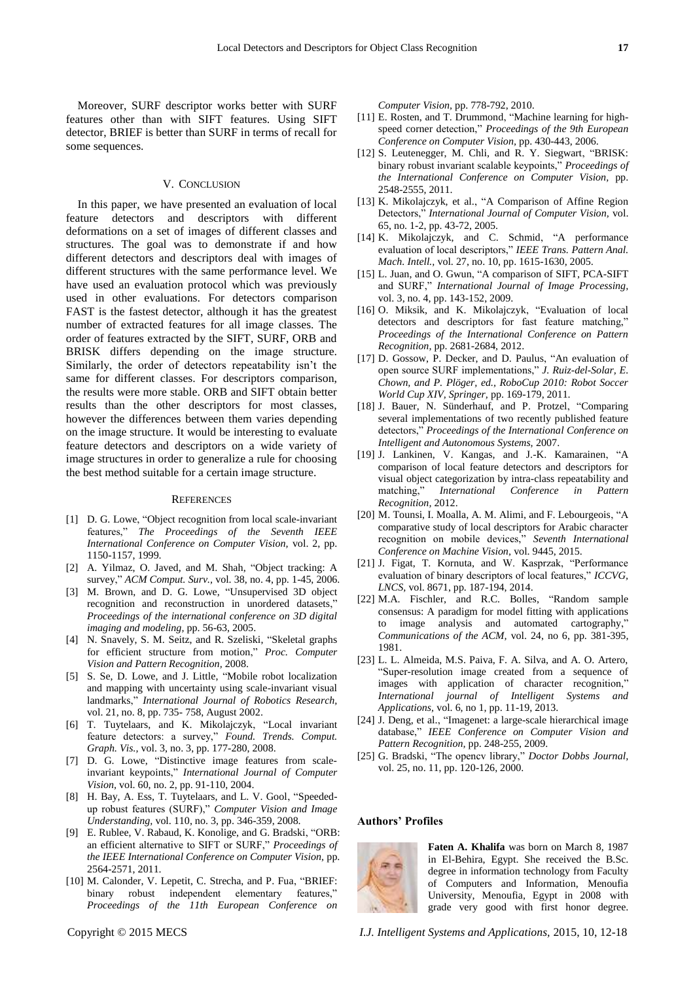Moreover, SURF descriptor works better with SURF features other than with SIFT features. Using SIFT detector, BRIEF is better than SURF in terms of recall for some sequences.

## V. CONCLUSION

In this paper, we have presented an evaluation of local feature detectors and descriptors with different deformations on a set of images of different classes and structures. The goal was to demonstrate if and how different detectors and descriptors deal with images of different structures with the same performance level. We have used an evaluation protocol which was previously used in other evaluations. For detectors comparison FAST is the fastest detector, although it has the greatest number of extracted features for all image classes. The order of features extracted by the SIFT, SURF, ORB and BRISK differs depending on the image structure. Similarly, the order of detectors repeatability isn't the same for different classes. For descriptors comparison, the results were more stable. ORB and SIFT obtain better results than the other descriptors for most classes, however the differences between them varies depending on the image structure. It would be interesting to evaluate feature detectors and descriptors on a wide variety of image structures in order to generalize a rule for choosing the best method suitable for a certain image structure.

#### **REFERENCES**

- [1] D. G. Lowe, "Object recognition from local scale-invariant features," *The Proceedings of the Seventh IEEE International Conference on Computer Vision,* vol. 2, pp. 1150-1157, 1999.
- [2] A. Yilmaz, O. Javed, and M. Shah, "Object tracking: A survey," *ACM Comput. Surv.,* vol. 38, no. 4, pp. 1-45, 2006.
- [3] M. Brown, and D. G. Lowe, "Unsupervised 3D object recognition and reconstruction in unordered datasets," *Proceedings of the international conference on 3D digital imaging and modeling,* pp. 56-63, 2005.
- [4] N. Snavely, S. M. Seitz, and R. Szeliski, "Skeletal graphs for efficient structure from motion," *Proc. Computer Vision and Pattern Recognition,* 2008.
- [5] S. Se, D. Lowe, and J. Little, "Mobile robot localization and mapping with uncertainty using scale-invariant visual landmarks," *International Journal of Robotics Research,* vol. 21, no. 8, pp. 735- 758, August 2002.
- [6] T. Tuytelaars, and K. Mikolajczyk, "Local invariant feature detectors: a survey," *Found. Trends. Comput. Graph. Vis.,* vol. 3, no. 3, pp. 177-280, 2008.
- [7] D. G. Lowe, "Distinctive image features from scaleinvariant keypoints," *International Journal of Computer Vision,* vol. 60, no. 2, pp. 91-110, 2004.
- [8] H. Bay, A. Ess, T. Tuytelaars, and L. V. Gool, "Speededup robust features (SURF)," *Computer Vision and Image Understanding,* vol. 110, no. 3, pp. 346-359, 2008.
- [9] E. Rublee, V. Rabaud, K. Konolige, and G. Bradski, "ORB: an efficient alternative to SIFT or SURF," *Proceedings of the IEEE International Conference on Computer Vision,* pp. 2564-2571, 2011.
- [10] M. Calonder, V. Lepetit, C. Strecha, and P. Fua, "BRIEF: binary robust independent elementary features," *Proceedings of the 11th European Conference on*

*Computer Vision,* pp. 778-792, 2010.

- [11] E. Rosten, and T. Drummond, "Machine learning for highspeed corner detection," *Proceedings of the 9th European Conference on Computer Vision,* pp. 430-443, 2006.
- [12] S. Leutenegger, M. Chli, and R. Y. Siegwart, "BRISK: binary robust invariant scalable keypoints," *Proceedings of the International Conference on Computer Vision,* pp. 2548-2555, 2011.
- [13] K. Mikolajczyk, et al., "A Comparison of Affine Region Detectors," *International Journal of Computer Vision,* vol. 65, no. 1-2, pp. 43-72, 2005.
- [14] K. Mikolajczyk, and C. Schmid, "A performance evaluation of local descriptors," *IEEE Trans. Pattern Anal. Mach. Intell.,* vol. 27, no. 10, pp. 1615-1630, 2005.
- [15] L. Juan, and O. Gwun, "A comparison of SIFT, PCA-SIFT and SURF," *International Journal of Image Processing,* vol. 3, no. 4, pp. 143-152, 2009.
- [16] O. Miksik, and K. Mikolajczyk, "Evaluation of local detectors and descriptors for fast feature matching," *Proceedings of the International Conference on Pattern Recognition,* pp. 2681-2684, 2012.
- [17] D. Gossow, P. Decker, and D. Paulus, "An evaluation of open source SURF implementations," *J. Ruiz-del-Solar, E. Chown, and P. Plöger, ed., RoboCup 2010: Robot Soccer World Cup XIV, Springer,* pp. 169-179, 2011.
- [18] J. Bauer, N. Sünderhauf, and P. Protzel, "Comparing several implementations of two recently published feature detectors," *Proceedings of the International Conference on Intelligent and Autonomous Systems,* 2007.
- [19] J. Lankinen, V. Kangas, and J.-K. Kamarainen, "A comparison of local feature detectors and descriptors for visual object categorization by intra-class repeatability and matching," International Conference in Pattern International Conference in Pattern *Recognition,* 2012.
- [20] M. Tounsi, I. Moalla, A. M. Alimi, and F. Lebourgeois, "A comparative study of local descriptors for Arabic character recognition on mobile devices," *Seventh International Conference on Machine Vision,* vol. 9445, 2015.
- [21] J. Figat, T. Kornuta, and W. Kasprzak, "Performance evaluation of binary descriptors of local features," *ICCVG, LNCS,* vol. 8671, pp. 187-194, 2014.
- [22] M.A. Fischler, and R.C. Bolles, "Random sample consensus: A paradigm for model fitting with applications to image analysis and automated cartography," *Communications of the ACM,* vol. 24, no 6, pp. 381-395, 1981.
- [23] L. L. Almeida, M.S. Paiva, F. A. Silva, and A. O. Artero, "Super-resolution image created from a sequence of images with application of character recognition," *International journal of Intelligent Systems and Applications,* vol. 6, no 1, pp. 11-19, 2013.
- [24] J. Deng, et al., "Imagenet: a large-scale hierarchical image database," *IEEE Conference on Computer Vision and Pattern Recognition,* pp. 248-255, 2009.
- [25] G. Bradski, "The opencv library," *Doctor Dobbs Journal,* vol. 25, no. 11, pp. 120-126, 2000.

#### **Authors' Profiles**



**Faten A. Khalifa** was born on March 8, 1987 in El-Behira, Egypt. She received the B.Sc. degree in information technology from Faculty of Computers and Information, Menoufia University, Menoufia, Egypt in 2008 with grade very good with first honor degree.

Copyright © 2015 MECS *I.J. Intelligent Systems and Applications,* 2015, 10, 12-18